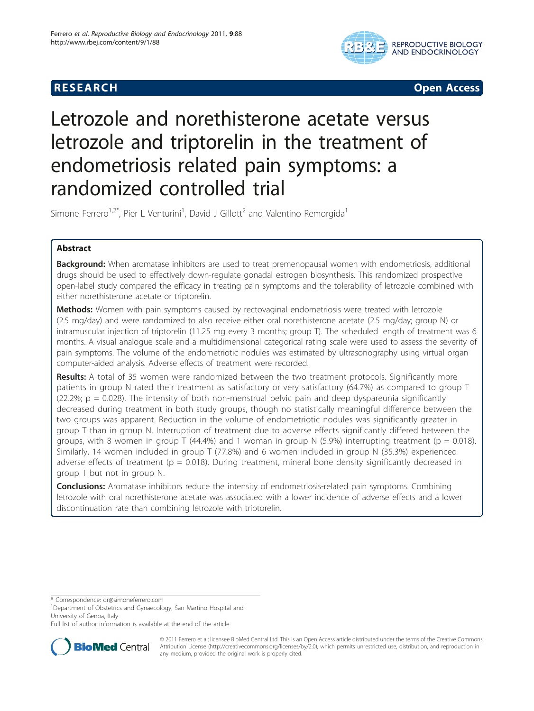# **RESEARCH CONSTRUCTION CONSTRUCTS**



# Letrozole and norethisterone acetate versus letrozole and triptorelin in the treatment of endometriosis related pain symptoms: a randomized controlled trial

Simone Ferrero<sup>1,2\*</sup>, Pier L Venturini<sup>1</sup>, David J Gillott<sup>2</sup> and Valentino Remorgida<sup>1</sup>

# Abstract

**Background:** When aromatase inhibitors are used to treat premenopausal women with endometriosis, additional drugs should be used to effectively down-regulate gonadal estrogen biosynthesis. This randomized prospective open-label study compared the efficacy in treating pain symptoms and the tolerability of letrozole combined with either norethisterone acetate or triptorelin.

Methods: Women with pain symptoms caused by rectovaginal endometriosis were treated with letrozole (2.5 mg/day) and were randomized to also receive either oral norethisterone acetate (2.5 mg/day; group N) or intramuscular injection of triptorelin (11.25 mg every 3 months; group T). The scheduled length of treatment was 6 months. A visual analogue scale and a multidimensional categorical rating scale were used to assess the severity of pain symptoms. The volume of the endometriotic nodules was estimated by ultrasonography using virtual organ computer-aided analysis. Adverse effects of treatment were recorded.

Results: A total of 35 women were randomized between the two treatment protocols. Significantly more patients in group N rated their treatment as satisfactory or very satisfactory (64.7%) as compared to group T  $(22.2\%)$ ;  $p = 0.028$ ). The intensity of both non-menstrual pelvic pain and deep dyspareunia significantly decreased during treatment in both study groups, though no statistically meaningful difference between the two groups was apparent. Reduction in the volume of endometriotic nodules was significantly greater in group T than in group N. Interruption of treatment due to adverse effects significantly differed between the groups, with 8 women in group T (44.4%) and 1 woman in group N (5.9%) interrupting treatment ( $p = 0.018$ ). Similarly, 14 women included in group T (77.8%) and 6 women included in group N (35.3%) experienced adverse effects of treatment ( $p = 0.018$ ). During treatment, mineral bone density significantly decreased in group T but not in group N.

**Conclusions:** Aromatase inhibitors reduce the intensity of endometriosis-related pain symptoms. Combining letrozole with oral norethisterone acetate was associated with a lower incidence of adverse effects and a lower discontinuation rate than combining letrozole with triptorelin.

\* Correspondence: [dr@simoneferrero.com](mailto:dr@simoneferrero.com)

<sup>1</sup>Department of Obstetrics and Gynaecology, San Martino Hospital and University of Genoa, Italy

Full list of author information is available at the end of the article



© 2011 Ferrero et al; licensee BioMed Central Ltd. This is an Open Access article distributed under the terms of the Creative Commons Attribution License [\(http://creativecommons.org/licenses/by/2.0](http://creativecommons.org/licenses/by/2.0)), which permits unrestricted use, distribution, and reproduction in any medium, provided the original work is properly cited.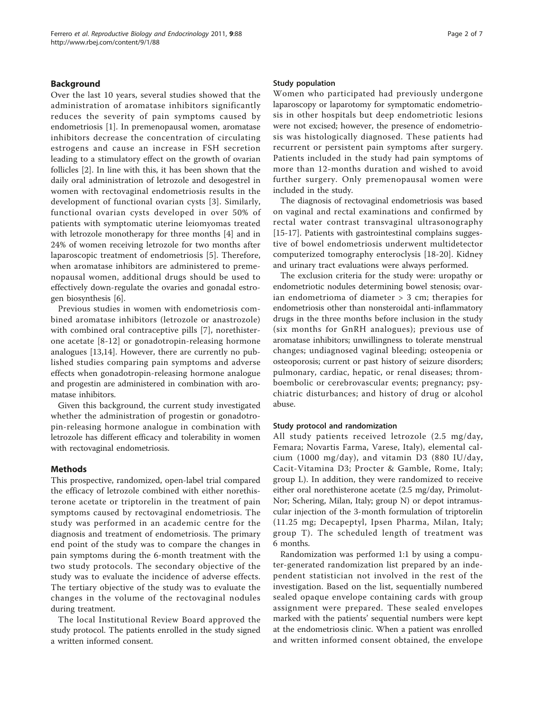# Background

Over the last 10 years, several studies showed that the administration of aromatase inhibitors significantly reduces the severity of pain symptoms caused by endometriosis [\[1](#page-6-0)]. In premenopausal women, aromatase inhibitors decrease the concentration of circulating estrogens and cause an increase in FSH secretion leading to a stimulatory effect on the growth of ovarian follicles [\[2](#page-6-0)]. In line with this, it has been shown that the daily oral administration of letrozole and desogestrel in women with rectovaginal endometriosis results in the development of functional ovarian cysts [\[3](#page-6-0)]. Similarly, functional ovarian cysts developed in over 50% of patients with symptomatic uterine leiomyomas treated with letrozole monotherapy for three months [[4](#page-6-0)] and in 24% of women receiving letrozole for two months after laparoscopic treatment of endometriosis [\[5](#page-6-0)]. Therefore, when aromatase inhibitors are administered to premenopausal women, additional drugs should be used to effectively down-regulate the ovaries and gonadal estrogen biosynthesis [[6\]](#page-6-0).

Previous studies in women with endometriosis combined aromatase inhibitors (letrozole or anastrozole) with combined oral contraceptive pills [[7\]](#page-6-0), norethisterone acetate [[8](#page-6-0)-[12](#page-6-0)] or gonadotropin-releasing hormone analogues [[13](#page-6-0),[14](#page-6-0)]. However, there are currently no published studies comparing pain symptoms and adverse effects when gonadotropin-releasing hormone analogue and progestin are administered in combination with aromatase inhibitors.

Given this background, the current study investigated whether the administration of progestin or gonadotropin-releasing hormone analogue in combination with letrozole has different efficacy and tolerability in women with rectovaginal endometriosis.

# Methods

This prospective, randomized, open-label trial compared the efficacy of letrozole combined with either norethisterone acetate or triptorelin in the treatment of pain symptoms caused by rectovaginal endometriosis. The study was performed in an academic centre for the diagnosis and treatment of endometriosis. The primary end point of the study was to compare the changes in pain symptoms during the 6-month treatment with the two study protocols. The secondary objective of the study was to evaluate the incidence of adverse effects. The tertiary objective of the study was to evaluate the changes in the volume of the rectovaginal nodules during treatment.

The local Institutional Review Board approved the study protocol. The patients enrolled in the study signed a written informed consent.

# Study population

Women who participated had previously undergone laparoscopy or laparotomy for symptomatic endometriosis in other hospitals but deep endometriotic lesions were not excised; however, the presence of endometriosis was histologically diagnosed. These patients had recurrent or persistent pain symptoms after surgery. Patients included in the study had pain symptoms of more than 12-months duration and wished to avoid further surgery. Only premenopausal women were included in the study.

The diagnosis of rectovaginal endometriosis was based on vaginal and rectal examinations and confirmed by rectal water contrast transvaginal ultrasonography [[15-17](#page-6-0)]. Patients with gastrointestinal complains suggestive of bowel endometriosis underwent multidetector computerized tomography enteroclysis [\[18](#page-6-0)-[20](#page-6-0)]. Kidney and urinary tract evaluations were always performed.

The exclusion criteria for the study were: uropathy or endometriotic nodules determining bowel stenosis; ovarian endometrioma of diameter > 3 cm; therapies for endometriosis other than nonsteroidal anti-inflammatory drugs in the three months before inclusion in the study (six months for GnRH analogues); previous use of aromatase inhibitors; unwillingness to tolerate menstrual changes; undiagnosed vaginal bleeding; osteopenia or osteoporosis; current or past history of seizure disorders; pulmonary, cardiac, hepatic, or renal diseases; thromboembolic or cerebrovascular events; pregnancy; psychiatric disturbances; and history of drug or alcohol abuse.

#### Study protocol and randomization

All study patients received letrozole (2.5 mg/day, Femara; Novartis Farma, Varese, Italy), elemental calcium (1000 mg/day), and vitamin D3 (880 IU/day, Cacit-Vitamina D3; Procter & Gamble, Rome, Italy; group L). In addition, they were randomized to receive either oral norethisterone acetate (2.5 mg/day, Primolut-Nor; Schering, Milan, Italy; group N) or depot intramuscular injection of the 3-month formulation of triptorelin (11.25 mg; Decapeptyl, Ipsen Pharma, Milan, Italy; group T). The scheduled length of treatment was 6 months.

Randomization was performed 1:1 by using a computer-generated randomization list prepared by an independent statistician not involved in the rest of the investigation. Based on the list, sequentially numbered sealed opaque envelope containing cards with group assignment were prepared. These sealed envelopes marked with the patients' sequential numbers were kept at the endometriosis clinic. When a patient was enrolled and written informed consent obtained, the envelope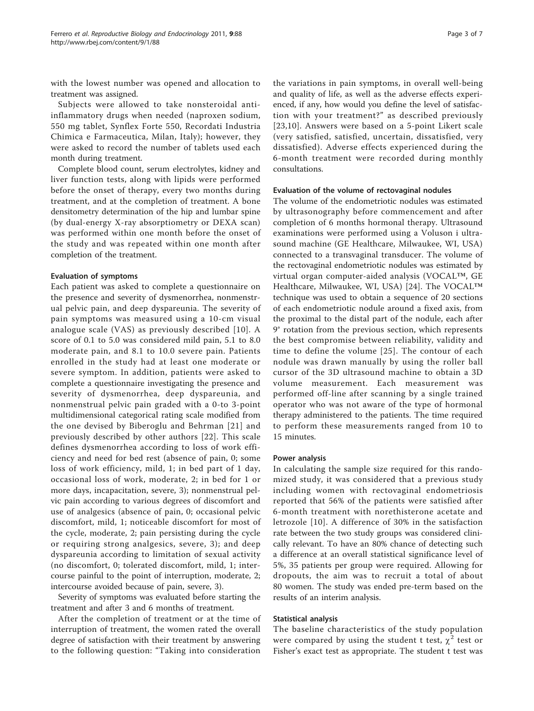with the lowest number was opened and allocation to treatment was assigned.

Subjects were allowed to take nonsteroidal antiinflammatory drugs when needed (naproxen sodium, 550 mg tablet, Synflex Forte 550, Recordati Industria Chimica e Farmaceutica, Milan, Italy); however, they were asked to record the number of tablets used each month during treatment.

Complete blood count, serum electrolytes, kidney and liver function tests, along with lipids were performed before the onset of therapy, every two months during treatment, and at the completion of treatment. A bone densitometry determination of the hip and lumbar spine (by dual-energy X-ray absorptiometry or DEXA scan) was performed within one month before the onset of the study and was repeated within one month after completion of the treatment.

# Evaluation of symptoms

Each patient was asked to complete a questionnaire on the presence and severity of dysmenorrhea, nonmenstrual pelvic pain, and deep dyspareunia. The severity of pain symptoms was measured using a 10-cm visual analogue scale (VAS) as previously described [[10](#page-6-0)]. A score of 0.1 to 5.0 was considered mild pain, 5.1 to 8.0 moderate pain, and 8.1 to 10.0 severe pain. Patients enrolled in the study had at least one moderate or severe symptom. In addition, patients were asked to complete a questionnaire investigating the presence and severity of dysmenorrhea, deep dyspareunia, and nonmenstrual pelvic pain graded with a 0-to 3-point multidimensional categorical rating scale modified from the one devised by Biberoglu and Behrman [[21\]](#page-6-0) and previously described by other authors [[22](#page-6-0)]. This scale defines dysmenorrhea according to loss of work efficiency and need for bed rest (absence of pain, 0; some loss of work efficiency, mild, 1; in bed part of 1 day, occasional loss of work, moderate, 2; in bed for 1 or more days, incapacitation, severe, 3); nonmenstrual pelvic pain according to various degrees of discomfort and use of analgesics (absence of pain, 0; occasional pelvic discomfort, mild, 1; noticeable discomfort for most of the cycle, moderate, 2; pain persisting during the cycle or requiring strong analgesics, severe, 3); and deep dyspareunia according to limitation of sexual activity (no discomfort, 0; tolerated discomfort, mild, 1; intercourse painful to the point of interruption, moderate, 2; intercourse avoided because of pain, severe, 3).

Severity of symptoms was evaluated before starting the treatment and after 3 and 6 months of treatment.

After the completion of treatment or at the time of interruption of treatment, the women rated the overall degree of satisfaction with their treatment by answering to the following question: "Taking into consideration

the variations in pain symptoms, in overall well-being and quality of life, as well as the adverse effects experienced, if any, how would you define the level of satisfaction with your treatment?" as described previously [[23](#page-6-0),[10\]](#page-6-0). Answers were based on a 5-point Likert scale (very satisfied, satisfied, uncertain, dissatisfied, very dissatisfied). Adverse effects experienced during the 6-month treatment were recorded during monthly consultations.

# Evaluation of the volume of rectovaginal nodules

The volume of the endometriotic nodules was estimated by ultrasonography before commencement and after completion of 6 months hormonal therapy. Ultrasound examinations were performed using a Voluson i ultrasound machine (GE Healthcare, Milwaukee, WI, USA) connected to a transvaginal transducer. The volume of the rectovaginal endometriotic nodules was estimated by virtual organ computer-aided analysis (VOCAL™, GE Healthcare, Milwaukee, WI, USA) [[24\]](#page-6-0). The VOCAL™ technique was used to obtain a sequence of 20 sections of each endometriotic nodule around a fixed axis, from the proximal to the distal part of the nodule, each after 9° rotation from the previous section, which represents the best compromise between reliability, validity and time to define the volume [[25](#page-6-0)]. The contour of each nodule was drawn manually by using the roller ball cursor of the 3D ultrasound machine to obtain a 3D volume measurement. Each measurement was performed off-line after scanning by a single trained operator who was not aware of the type of hormonal therapy administered to the patients. The time required to perform these measurements ranged from 10 to 15 minutes.

# Power analysis

In calculating the sample size required for this randomized study, it was considered that a previous study including women with rectovaginal endometriosis reported that 56% of the patients were satisfied after 6-month treatment with norethisterone acetate and letrozole [[10](#page-6-0)]. A difference of 30% in the satisfaction rate between the two study groups was considered clinically relevant. To have an 80% chance of detecting such a difference at an overall statistical significance level of 5%, 35 patients per group were required. Allowing for dropouts, the aim was to recruit a total of about 80 women. The study was ended pre-term based on the results of an interim analysis.

# Statistical analysis

The baseline characteristics of the study population were compared by using the student t test,  $\chi^2$  test or Fisher's exact test as appropriate. The student t test was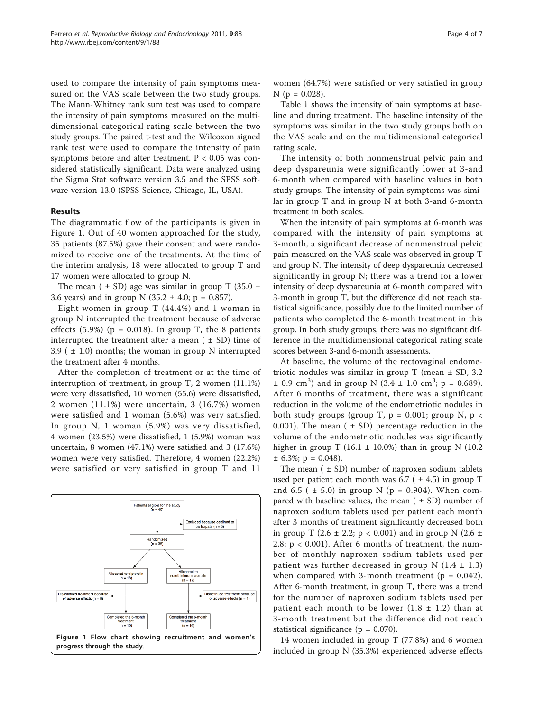used to compare the intensity of pain symptoms measured on the VAS scale between the two study groups. The Mann-Whitney rank sum test was used to compare the intensity of pain symptoms measured on the multidimensional categorical rating scale between the two study groups. The paired t-test and the Wilcoxon signed rank test were used to compare the intensity of pain symptoms before and after treatment.  $P < 0.05$  was considered statistically significant. Data were analyzed using the Sigma Stat software version 3.5 and the SPSS software version 13.0 (SPSS Science, Chicago, IL, USA).

# Results

The diagrammatic flow of the participants is given in Figure 1. Out of 40 women approached for the study, 35 patients (87.5%) gave their consent and were randomized to receive one of the treatments. At the time of the interim analysis, 18 were allocated to group T and 17 women were allocated to group N.

The mean ( $\pm$  SD) age was similar in group T (35.0  $\pm$ 3.6 years) and in group N (35.2  $\pm$  4.0; p = 0.857).

Eight women in group T (44.4%) and 1 woman in group N interrupted the treatment because of adverse effects  $(5.9\%)$  (p = 0.018). In group T, the 8 patients interrupted the treatment after a mean  $( \pm SD)$  time of 3.9 ( $\pm$  1.0) months; the woman in group N interrupted the treatment after 4 months.

After the completion of treatment or at the time of interruption of treatment, in group T, 2 women (11.1%) were very dissatisfied, 10 women (55.6) were dissatisfied, 2 women (11.1%) were uncertain, 3 (16.7%) women were satisfied and 1 woman (5.6%) was very satisfied. In group N, 1 woman (5.9%) was very dissatisfied, 4 women (23.5%) were dissatisfied, 1 (5.9%) woman was uncertain, 8 women (47.1%) were satisfied and 3 (17.6%) women were very satisfied. Therefore, 4 women (22.2%) were satisfied or very satisfied in group T and 11



women (64.7%) were satisfied or very satisfied in group  $N$  (p = 0.028).

Table [1](#page-4-0) shows the intensity of pain symptoms at baseline and during treatment. The baseline intensity of the symptoms was similar in the two study groups both on the VAS scale and on the multidimensional categorical rating scale.

The intensity of both nonmenstrual pelvic pain and deep dyspareunia were significantly lower at 3-and 6-month when compared with baseline values in both study groups. The intensity of pain symptoms was similar in group T and in group N at both 3-and 6-month treatment in both scales.

When the intensity of pain symptoms at 6-month was compared with the intensity of pain symptoms at 3-month, a significant decrease of nonmenstrual pelvic pain measured on the VAS scale was observed in group T and group N. The intensity of deep dyspareunia decreased significantly in group N; there was a trend for a lower intensity of deep dyspareunia at 6-month compared with 3-month in group T, but the difference did not reach statistical significance, possibly due to the limited number of patients who completed the 6-month treatment in this group. In both study groups, there was no significant difference in the multidimensional categorical rating scale scores between 3-and 6-month assessments.

At baseline, the volume of the rectovaginal endometriotic nodules was similar in group T (mean ± SD, 3.2  $\pm$  0.9 cm<sup>3</sup>) and in group N (3.4  $\pm$  1.0 cm<sup>3</sup>; p = 0.689). After 6 months of treatment, there was a significant reduction in the volume of the endometriotic nodules in both study groups (group T,  $p = 0.001$ ; group N,  $p <$ 0.001). The mean  $( \pm SD)$  percentage reduction in the volume of the endometriotic nodules was significantly higher in group T (16.1  $\pm$  10.0%) than in group N (10.2  $\pm$  6.3%; p = 0.048).

The mean  $( \pm SD)$  number of naproxen sodium tablets used per patient each month was  $6.7$  ( $\pm$  4.5) in group T and 6.5 (  $\pm$  5.0) in group N (p = 0.904). When compared with baseline values, the mean  $( \pm SD)$  number of naproxen sodium tablets used per patient each month after 3 months of treatment significantly decreased both in group T (2.6  $\pm$  2.2; p < 0.001) and in group N (2.6  $\pm$ 2.8;  $p < 0.001$ ). After 6 months of treatment, the number of monthly naproxen sodium tablets used per patient was further decreased in group N  $(1.4 \pm 1.3)$ when compared with 3-month treatment ( $p = 0.042$ ). After 6-month treatment, in group T, there was a trend for the number of naproxen sodium tablets used per patient each month to be lower  $(1.8 \pm 1.2)$  than at 3-month treatment but the difference did not reach statistical significance ( $p = 0.070$ ).

14 women included in group T (77.8%) and 6 women included in group N (35.3%) experienced adverse effects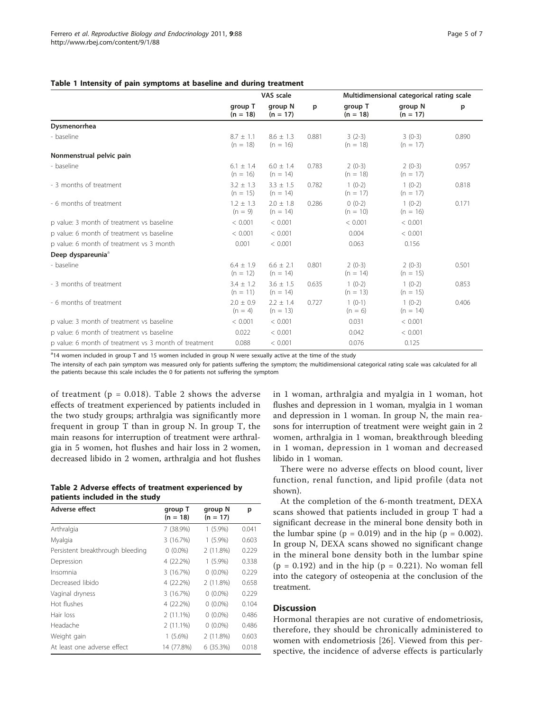# <span id="page-4-0"></span>Table 1 Intensity of pain symptoms at baseline and during treatment

|                                                       | VAS scale                   |                             |       | Multidimensional categorical rating scale |                        |       |
|-------------------------------------------------------|-----------------------------|-----------------------------|-------|-------------------------------------------|------------------------|-------|
|                                                       | group T<br>$(n = 18)$       | group N<br>$(n = 17)$       | p     | group T<br>$(n = 18)$                     | group N<br>$(n = 17)$  | p     |
| Dysmenorrhea                                          |                             |                             |       |                                           |                        |       |
| - baseline                                            | $8.7 \pm 1.1$<br>$(n = 18)$ | $8.6 \pm 1.3$<br>$(n = 16)$ | 0.881 | $3(2-3)$<br>$(n = 18)$                    | $3(0-3)$<br>$(n = 17)$ | 0.890 |
| Nonmenstrual pelvic pain                              |                             |                             |       |                                           |                        |       |
| - baseline                                            | $6.1 \pm 1.4$<br>$(n = 16)$ | $6.0 \pm 1.4$<br>$(n = 14)$ | 0.783 | $2(0-3)$<br>$(n = 18)$                    | $2(0-3)$<br>$(n = 17)$ | 0.957 |
| - 3 months of treatment                               | $3.2 \pm 1.3$<br>$(n = 15)$ | $3.3 \pm 1.5$<br>$(n = 14)$ | 0.782 | $1(0-2)$<br>$(n = 17)$                    | $1(0-2)$<br>$(n = 17)$ | 0.818 |
| - 6 months of treatment                               | $1.2 \pm 1.3$<br>$(n = 9)$  | $2.0 \pm 1.8$<br>$(n = 14)$ | 0.286 | $0(0-2)$<br>$(n = 10)$                    | $1(0-2)$<br>$(n = 16)$ | 0.171 |
| p value: 3 month of treatment vs baseline             | < 0.001                     | < 0.001                     |       | < 0.001                                   | < 0.001                |       |
| p value: 6 month of treatment vs baseline             | < 0.001                     | < 0.001                     |       | 0.004                                     | < 0.001                |       |
| p value: 6 month of treatment vs 3 month              | 0.001                       | < 0.001                     |       | 0.063                                     | 0.156                  |       |
| Deep dyspareunia <sup>a</sup>                         |                             |                             |       |                                           |                        |       |
| - baseline                                            | $6.4 + 1.9$<br>$(n = 12)$   | $6.6 \pm 2.1$<br>$(n = 14)$ | 0.801 | $2(0-3)$<br>$(n = 14)$                    | $2(0-3)$<br>$(n = 15)$ | 0.501 |
| - 3 months of treatment                               | $3.4 \pm 1.2$<br>$(n = 11)$ | $3.6 \pm 1.5$<br>$(n = 14)$ | 0.635 | $1(0-2)$<br>$(n = 13)$                    | $1(0-2)$<br>$(n = 15)$ | 0.853 |
| - 6 months of treatment                               | $2.0 \pm 0.9$<br>$(n = 4)$  | $2.2 \pm 1.4$<br>$(n = 13)$ | 0.727 | $1(0-1)$<br>$(n = 6)$                     | $1(0-2)$<br>$(n = 14)$ | 0.406 |
| p value: 3 month of treatment vs baseline             | < 0.001                     | < 0.001                     |       | 0.031                                     | < 0.001                |       |
| p value: 6 month of treatment vs baseline             | 0.022                       | < 0.001                     |       | 0.042                                     | < 0.001                |       |
| p value: 6 month of treatment vs 3 month of treatment | 0.088                       | < 0.001                     |       | 0.076                                     | 0.125                  |       |

<sup>a</sup>14 women included in group T and 15 women included in group N were sexually active at the time of the study

The intensity of each pain symptom was measured only for patients suffering the symptom; the multidimensional categorical rating scale was calculated for all the patients because this scale includes the 0 for patients not suffering the symptom

of treatment ( $p = 0.018$ ). Table 2 shows the adverse effects of treatment experienced by patients included in the two study groups; arthralgia was significantly more frequent in group T than in group N. In group T, the main reasons for interruption of treatment were arthralgia in 5 women, hot flushes and hair loss in 2 women, decreased libido in 2 women, arthralgia and hot flushes

|                                |  | Table 2 Adverse effects of treatment experienced by |  |
|--------------------------------|--|-----------------------------------------------------|--|
| patients included in the study |  |                                                     |  |

| Adverse effect                   | group T<br>$(n = 18)$ | group N<br>$(n = 17)$ | р     |
|----------------------------------|-----------------------|-----------------------|-------|
| Arthralgia                       | 7 (38.9%)             | $1(5.9\%)$            | 0.041 |
| Myalgia                          | 3(16.7%)              | $1(5.9\%)$            | 0.603 |
| Persistent breakthrough bleeding | $0(0.0\%)$            | 2(11.8%)              | 0.229 |
| Depression                       | 4 (22.2%)             | $1(5.9\%)$            | 0.338 |
| Insomnia                         | 3(16.7%)              | $0(0.0\%)$            | 0.229 |
| Decreased libido                 | 4 (22.2%)             | 2(11.8%)              | 0.658 |
| Vaginal dryness                  | 3(16.7%)              | $0(0.0\%)$            | 0.229 |
| Hot flushes                      | 4 (22.2%)             | $0(0.0\%)$            | 0.104 |
| Hair loss                        | $2(11.1\%)$           | $0(0.0\%)$            | 0.486 |
| Headache                         | $2(11.1\%)$           | $0(0.0\%)$            | 0.486 |
| Weight gain                      | $1(5.6\%)$            | 2(11.8%)              | 0.603 |
| At least one adverse effect      | 14 (77.8%)            | 6(35.3%)              | 0.018 |

in 1 woman, arthralgia and myalgia in 1 woman, hot flushes and depression in 1 woman, myalgia in 1 woman and depression in 1 woman. In group N, the main reasons for interruption of treatment were weight gain in 2 women, arthralgia in 1 woman, breakthrough bleeding in 1 woman, depression in 1 woman and decreased libido in 1 woman.

There were no adverse effects on blood count, liver function, renal function, and lipid profile (data not shown).

At the completion of the 6-month treatment, DEXA scans showed that patients included in group T had a significant decrease in the mineral bone density both in the lumbar spine ( $p = 0.019$ ) and in the hip ( $p = 0.002$ ). In group N, DEXA scans showed no significant change in the mineral bone density both in the lumbar spine  $(p = 0.192)$  and in the hip  $(p = 0.221)$ . No woman fell into the category of osteopenia at the conclusion of the treatment.

# **Discussion**

Hormonal therapies are not curative of endometriosis, therefore, they should be chronically administered to women with endometriosis [[26\]](#page-6-0). Viewed from this perspective, the incidence of adverse effects is particularly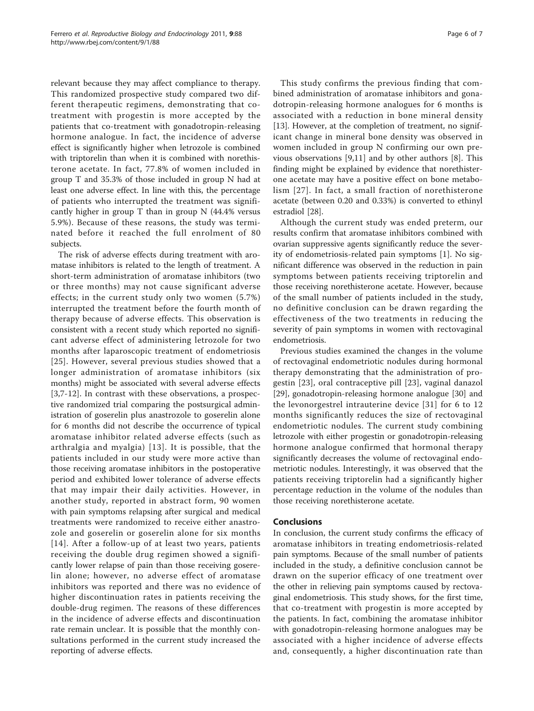relevant because they may affect compliance to therapy. This randomized prospective study compared two different therapeutic regimens, demonstrating that cotreatment with progestin is more accepted by the patients that co-treatment with gonadotropin-releasing hormone analogue. In fact, the incidence of adverse effect is significantly higher when letrozole is combined with triptorelin than when it is combined with norethisterone acetate. In fact, 77.8% of women included in group T and 35.3% of those included in group N had at least one adverse effect. In line with this, the percentage of patients who interrupted the treatment was significantly higher in group T than in group N (44.4% versus 5.9%). Because of these reasons, the study was terminated before it reached the full enrolment of 80 subjects.

The risk of adverse effects during treatment with aromatase inhibitors is related to the length of treatment. A short-term administration of aromatase inhibitors (two or three months) may not cause significant adverse effects; in the current study only two women (5.7%) interrupted the treatment before the fourth month of therapy because of adverse effects. This observation is consistent with a recent study which reported no significant adverse effect of administering letrozole for two months after laparoscopic treatment of endometriosis [[25](#page-6-0)]. However, several previous studies showed that a longer administration of aromatase inhibitors (six months) might be associated with several adverse effects [[3,7](#page-6-0)-[12\]](#page-6-0). In contrast with these observations, a prospective randomized trial comparing the postsurgical administration of goserelin plus anastrozole to goserelin alone for 6 months did not describe the occurrence of typical aromatase inhibitor related adverse effects (such as arthralgia and myalgia) [[13](#page-6-0)]. It is possible, that the patients included in our study were more active than those receiving aromatase inhibitors in the postoperative period and exhibited lower tolerance of adverse effects that may impair their daily activities. However, in another study, reported in abstract form, 90 women with pain symptoms relapsing after surgical and medical treatments were randomized to receive either anastrozole and goserelin or goserelin alone for six months [[14\]](#page-6-0). After a follow-up of at least two years, patients receiving the double drug regimen showed a significantly lower relapse of pain than those receiving goserelin alone; however, no adverse effect of aromatase inhibitors was reported and there was no evidence of higher discontinuation rates in patients receiving the double-drug regimen. The reasons of these differences in the incidence of adverse effects and discontinuation rate remain unclear. It is possible that the monthly consultations performed in the current study increased the reporting of adverse effects.

This study confirms the previous finding that combined administration of aromatase inhibitors and gonadotropin-releasing hormone analogues for 6 months is associated with a reduction in bone mineral density [[13\]](#page-6-0). However, at the completion of treatment, no significant change in mineral bone density was observed in women included in group N confirming our own previous observations [[9,11](#page-6-0)] and by other authors [\[8](#page-6-0)]. This finding might be explained by evidence that norethisterone acetate may have a positive effect on bone metabolism [[27](#page-6-0)]. In fact, a small fraction of norethisterone acetate (between 0.20 and 0.33%) is converted to ethinyl estradiol [[28\]](#page-6-0).

Although the current study was ended preterm, our results confirm that aromatase inhibitors combined with ovarian suppressive agents significantly reduce the severity of endometriosis-related pain symptoms [[1\]](#page-6-0). No significant difference was observed in the reduction in pain symptoms between patients receiving triptorelin and those receiving norethisterone acetate. However, because of the small number of patients included in the study, no definitive conclusion can be drawn regarding the effectiveness of the two treatments in reducing the severity of pain symptoms in women with rectovaginal endometriosis.

Previous studies examined the changes in the volume of rectovaginal endometriotic nodules during hormonal therapy demonstrating that the administration of progestin [\[23](#page-6-0)], oral contraceptive pill [[23\]](#page-6-0), vaginal danazol [[29\]](#page-6-0), gonadotropin-releasing hormone analogue [\[30](#page-6-0)] and the levonorgestrel intrauterine device [\[31\]](#page-6-0) for 6 to 12 months significantly reduces the size of rectovaginal endometriotic nodules. The current study combining letrozole with either progestin or gonadotropin-releasing hormone analogue confirmed that hormonal therapy significantly decreases the volume of rectovaginal endometriotic nodules. Interestingly, it was observed that the patients receiving triptorelin had a significantly higher percentage reduction in the volume of the nodules than those receiving norethisterone acetate.

# Conclusions

In conclusion, the current study confirms the efficacy of aromatase inhibitors in treating endometriosis-related pain symptoms. Because of the small number of patients included in the study, a definitive conclusion cannot be drawn on the superior efficacy of one treatment over the other in relieving pain symptoms caused by rectovaginal endometriosis. This study shows, for the first time, that co-treatment with progestin is more accepted by the patients. In fact, combining the aromatase inhibitor with gonadotropin-releasing hormone analogues may be associated with a higher incidence of adverse effects and, consequently, a higher discontinuation rate than